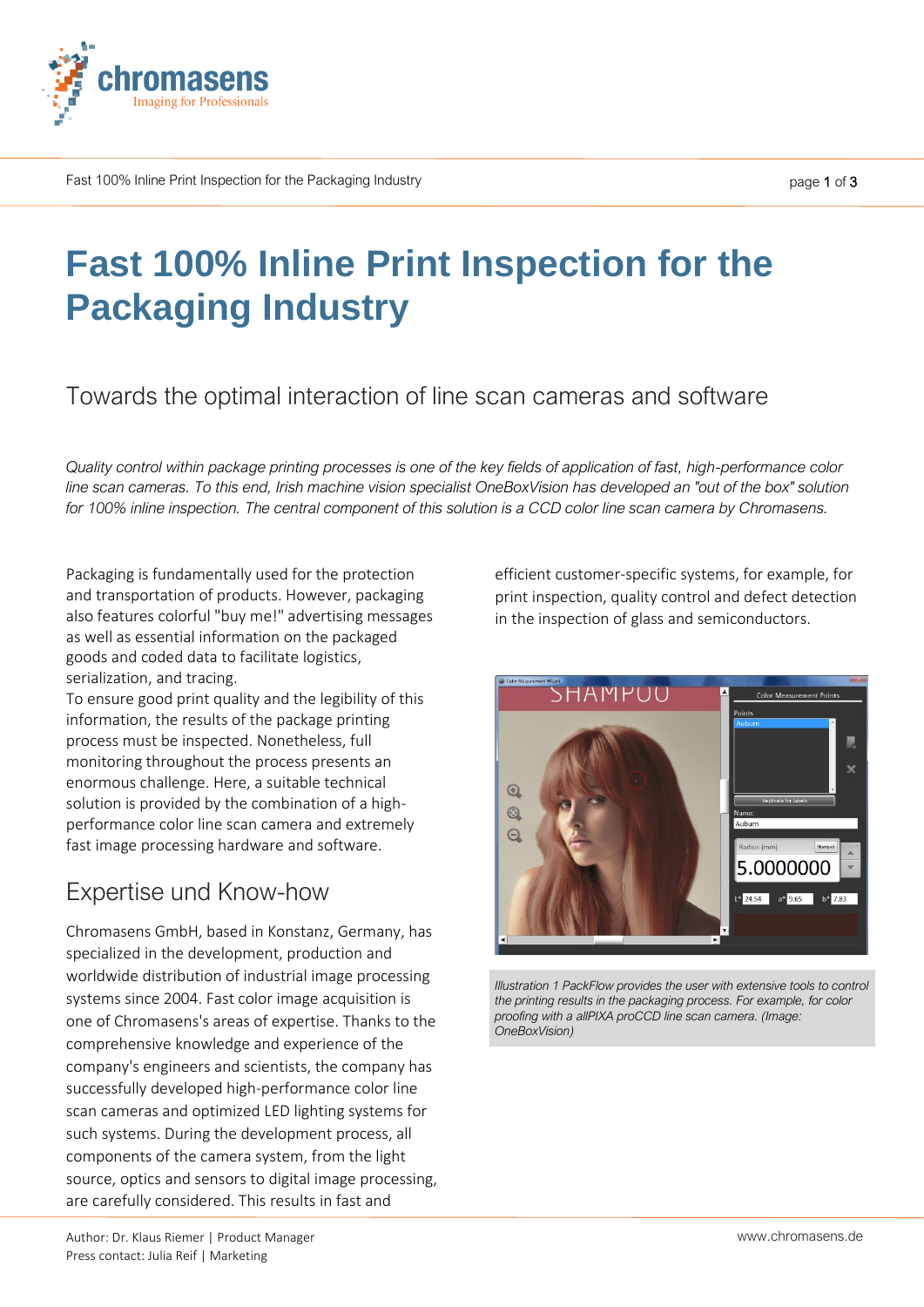

Fast 100% Inline Print Inspection for the Packaging Industry

# **Fast 100% Inline Print Inspection for the Packaging Industry**

### Towards the optimal interaction of line scan cameras and software

*Quality control within package printing processes is one of the key fields of application of fast, high-performance color line scan cameras. To this end, Irish machine vision specialist OneBoxVision has developed an "out of the box" solution for 100% inline inspection. The central component of this solution is a CCD color line scan camera by Chromasens.*

Packaging is fundamentally used for the protection and transportation of products. However, packaging also features colorful "buy me!" advertising messages as well as essential information on the packaged goods and coded data to facilitate logistics, serialization, and tracing.

To ensure good print quality and the legibility of this information, the results of the package printing process must be inspected. Nonetheless, full monitoring throughout the process presents an enormous challenge. Here, a suitable technical solution is provided by the combination of a highperformance color line scan camera and extremely fast image processing hardware and software.

## Expertise und Know-how

Chromasens GmbH, based in Konstanz, Germany, has specialized in the development, production and worldwide distribution of industrial image processing systems since 2004. Fast color image acquisition is one of Chromasens's areas of expertise. Thanks to the comprehensive knowledge and experience of the company's engineers and scientists, the company has successfully developed high-performance color line scan cameras and optimized LED lighting systems for such systems. During the development process, all components of the camera system, from the light source, optics and sensors to digital image processing, are carefully considered. This results in fast and

efficient customer-specific systems, for example, for print inspection, quality control and defect detection in the inspection of glass and semiconductors.



*Illustration 1 PackFlow provides the user with extensive tools to control the printing results in the packaging process. For example, for color proofing with a allPIXA proCCD line scan camera. (Image: OneBoxVision)*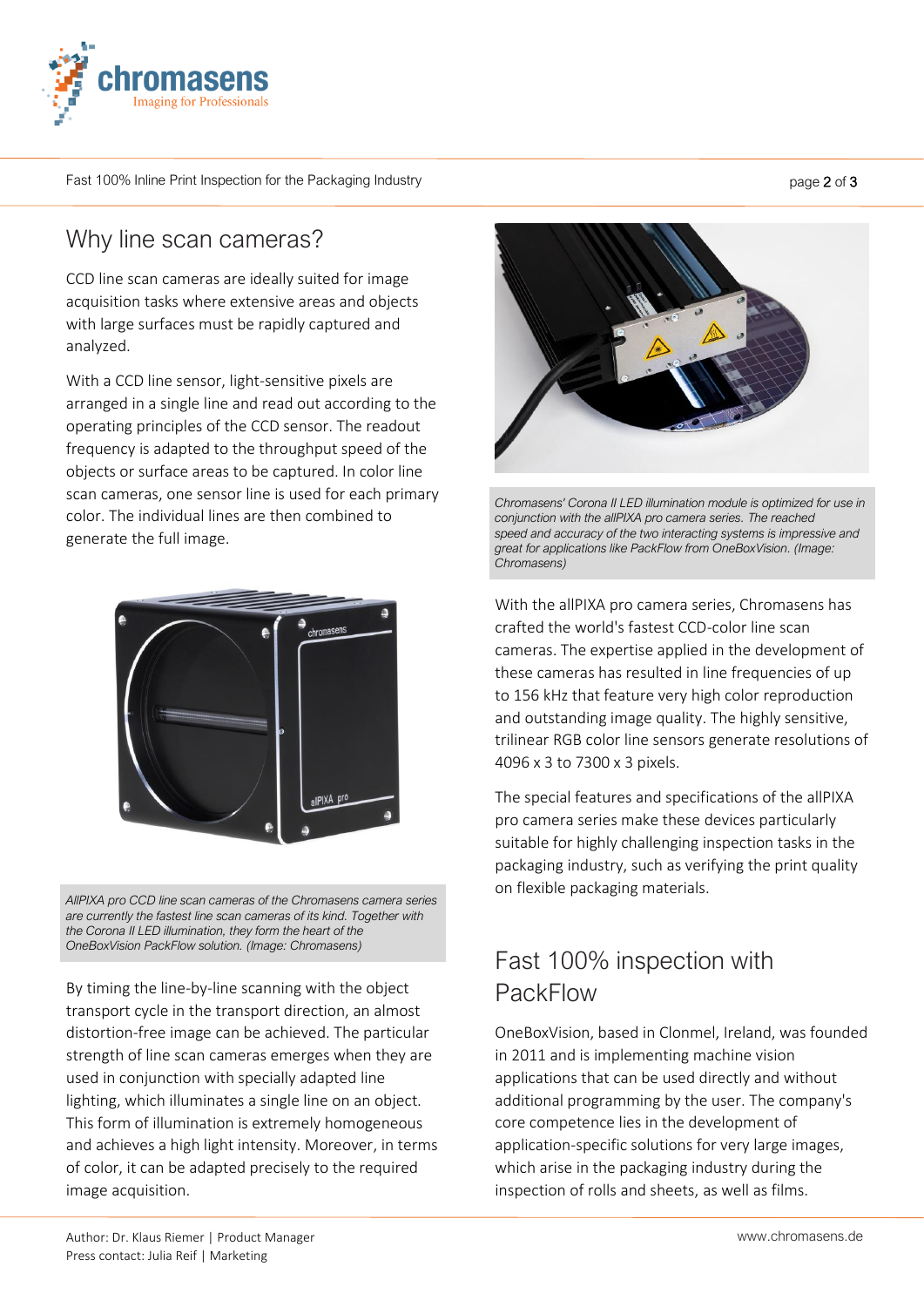

Fast 100% Inline Print Inspection for the Packaging Industry

#### Why line scan cameras?

CCD line scan cameras are ideally suited for image acquisition tasks where extensive areas and objects with large surfaces must be rapidly captured and analyzed.

With a CCD line sensor, light-sensitive pixels are arranged in a single line and read out according to the operating principles of the CCD sensor. The readout frequency is adapted to the throughput speed of the objects or surface areas to be captured. In color line scan cameras, one sensor line is used for each primary color. The individual lines are then combined to generate the full image.



*AllPIXA pro CCD line scan cameras of the Chromasens camera series are currently the fastest line scan cameras of its kind. Together with the Corona II LED illumination, they form the heart of the OneBoxVision PackFlow solution. (Image: Chromasens)*

By timing the line-by-line scanning with the object transport cycle in the transport direction, an almost distortion-free image can be achieved. The particular strength of line scan cameras emerges when they are used in conjunction with specially adapted line lighting, which illuminates a single line on an object. This form of illumination is extremely homogeneous and achieves a high light intensity. Moreover, in terms of color, it can be adapted precisely to the required image acquisition.



*Chromasens' Corona II LED illumination module is optimized for use in conjunction with the allPIXA pro camera series. The reached speed and accuracy of the two interacting systems is impressive and great for applications like PackFlow from OneBoxVision. (Image: Chromasens)*

With the allPIXA pro camera series, Chromasens has crafted the world's fastest CCD-color line scan cameras. The expertise applied in the development of these cameras has resulted in line frequencies of up to 156 kHz that feature very high color reproduction and outstanding image quality. The highly sensitive, trilinear RGB color line sensors generate resolutions of 4096 x 3 to 7300 x 3 pixels.

The special features and specifications of the allPIXA pro camera series make these devices particularly suitable for highly challenging inspection tasks in the packaging industry, such as verifying the print quality on flexible packaging materials.

## Fast 100% inspection with PackFlow

OneBoxVision, based in Clonmel, Ireland, was founded in 2011 and is implementing machine vision applications that can be used directly and without additional programming by the user. The company's core competence lies in the development of application-specific solutions for very large images, which arise in the packaging industry during the inspection of rolls and sheets, as well as films.

page 2 of 3